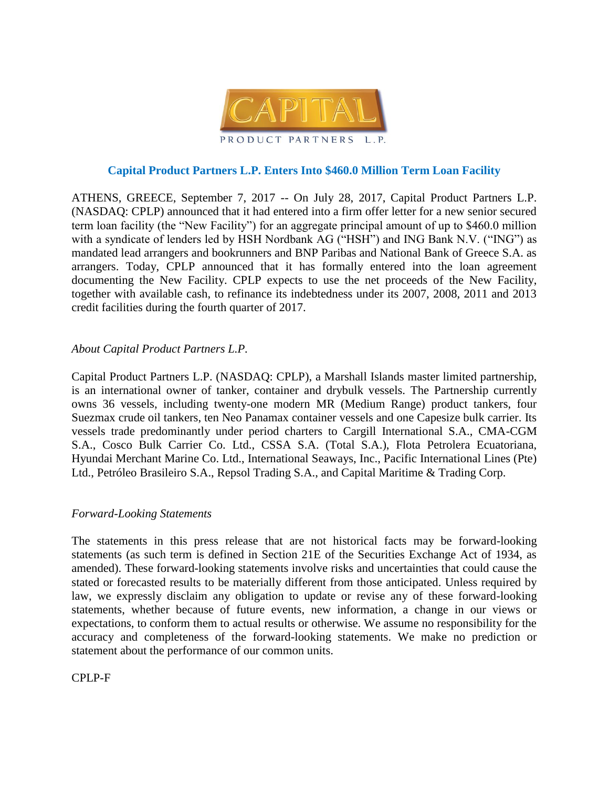

## **Capital Product Partners L.P. Enters Into \$460.0 Million Term Loan Facility**

ATHENS, GREECE, September 7, 2017 -- On July 28, 2017, Capital Product Partners L.P. (NASDAQ: CPLP) announced that it had entered into a firm offer letter for a new senior secured term loan facility (the "New Facility") for an aggregate principal amount of up to \$460.0 million with a syndicate of lenders led by HSH Nordbank AG ("HSH") and ING Bank N.V. ("ING") as mandated lead arrangers and bookrunners and BNP Paribas and National Bank of Greece S.A. as arrangers. Today, CPLP announced that it has formally entered into the loan agreement documenting the New Facility. CPLP expects to use the net proceeds of the New Facility, together with available cash, to refinance its indebtedness under its 2007, 2008, 2011 and 2013 credit facilities during the fourth quarter of 2017.

## *About Capital Product Partners L.P.*

Capital Product Partners L.P. (NASDAQ: CPLP), a Marshall Islands master limited partnership, is an international owner of tanker, container and drybulk vessels. The Partnership currently owns 36 vessels, including twenty-one modern MR (Medium Range) product tankers, four Suezmax crude oil tankers, ten Neo Panamax container vessels and one Capesize bulk carrier. Its vessels trade predominantly under period charters to Cargill International S.A., CMA-CGM S.A., Cosco Bulk Carrier Co. Ltd., CSSA S.A. (Total S.A.), Flota Petrolera Ecuatoriana, Hyundai Merchant Marine Co. Ltd., International Seaways, Inc., Pacific International Lines (Pte) Ltd., Petróleo Brasileiro S.A., Repsol Trading S.A., and Capital Maritime & Trading Corp.

## *Forward-Looking Statements*

The statements in this press release that are not historical facts may be forward-looking statements (as such term is defined in Section 21E of the Securities Exchange Act of 1934, as amended). These forward-looking statements involve risks and uncertainties that could cause the stated or forecasted results to be materially different from those anticipated. Unless required by law, we expressly disclaim any obligation to update or revise any of these forward-looking statements, whether because of future events, new information, a change in our views or expectations, to conform them to actual results or otherwise. We assume no responsibility for the accuracy and completeness of the forward-looking statements. We make no prediction or statement about the performance of our common units.

CPLP-F